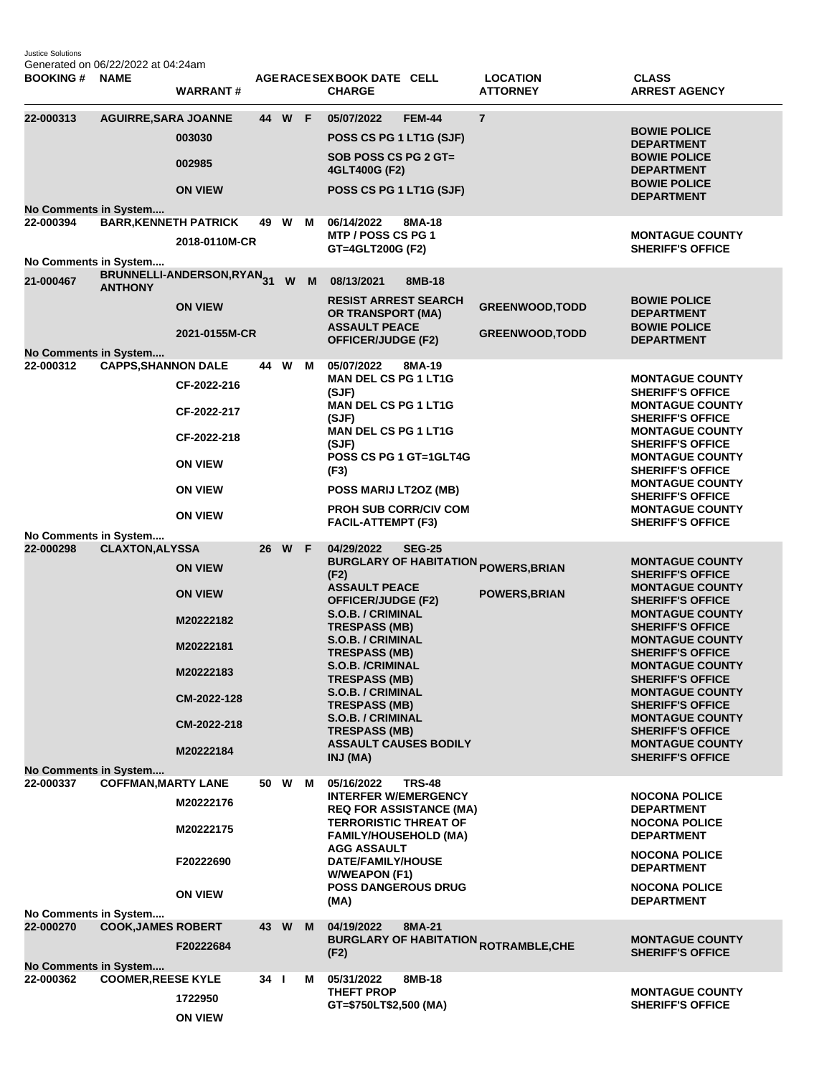Justice Solutions Generated on 06/22/2022 at 04:24am

| <b>BOOKING # NAME</b>                                       |                              | <b>WARRANT#</b>                                                                                                    |                 |        |     | AGERACE SEX BOOK DATE CELL<br><b>CHARGE</b>                                                                                                                                                                                                                                                                                                                |               | <b>LOCATION</b><br><b>ATTORNEY</b>                                            | <b>CLASS</b><br><b>ARREST AGENCY</b>                                                                                                                                                                                                                                                                                                                                                                                                 |
|-------------------------------------------------------------|------------------------------|--------------------------------------------------------------------------------------------------------------------|-----------------|--------|-----|------------------------------------------------------------------------------------------------------------------------------------------------------------------------------------------------------------------------------------------------------------------------------------------------------------------------------------------------------------|---------------|-------------------------------------------------------------------------------|--------------------------------------------------------------------------------------------------------------------------------------------------------------------------------------------------------------------------------------------------------------------------------------------------------------------------------------------------------------------------------------------------------------------------------------|
| 22-000313<br>No Comments in System                          | <b>AGUIRRE, SARA JOANNE</b>  | 003030<br>002985<br><b>ON VIEW</b>                                                                                 |                 | 44 W F |     | 05/07/2022<br>POSS CS PG 1 LT1G (SJF)<br>SOB POSS CS PG 2 GT=<br>4GLT400G (F2)<br>POSS CS PG 1 LT1G (SJF)                                                                                                                                                                                                                                                  | <b>FEM-44</b> | $\overline{7}$                                                                | <b>BOWIE POLICE</b><br><b>DEPARTMENT</b><br><b>BOWIE POLICE</b><br><b>DEPARTMENT</b><br><b>BOWIE POLICE</b><br><b>DEPARTMENT</b>                                                                                                                                                                                                                                                                                                     |
| 22-000394                                                   | <b>BARR, KENNETH PATRICK</b> | 2018-0110M-CR                                                                                                      |                 | 49 W   | M   | 06/14/2022<br>MTP / POSS CS PG 1<br>GT=4GLT200G (F2)                                                                                                                                                                                                                                                                                                       | 8MA-18        |                                                                               | <b>MONTAGUE COUNTY</b><br><b>SHERIFF'S OFFICE</b>                                                                                                                                                                                                                                                                                                                                                                                    |
| No Comments in System<br>21-000467                          | <b>ANTHONY</b>               | BRUNNELLI-ANDERSON, RYAN <sub>31</sub><br><b>ON VIEW</b><br>2021-0155M-CR                                          |                 |        | W M | 08/13/2021<br><b>RESIST ARREST SEARCH</b><br>OR TRANSPORT (MA)<br><b>ASSAULT PEACE</b><br><b>OFFICER/JUDGE (F2)</b>                                                                                                                                                                                                                                        | 8MB-18        | <b>GREENWOOD, TODD</b><br><b>GREENWOOD, TODD</b>                              | <b>BOWIE POLICE</b><br><b>DEPARTMENT</b><br><b>BOWIE POLICE</b><br><b>DEPARTMENT</b>                                                                                                                                                                                                                                                                                                                                                 |
| No Comments in System<br>22-000312<br>No Comments in System | <b>CAPPS, SHANNON DALE</b>   | CF-2022-216<br>CF-2022-217<br>CF-2022-218<br><b>ON VIEW</b><br><b>ON VIEW</b><br><b>ON VIEW</b>                    |                 | 44 W   | M   | 05/07/2022<br><b>MAN DEL CS PG 1 LT1G</b><br>(SJF)<br><b>MAN DEL CS PG 1 LT1G</b><br>(SJF)<br><b>MAN DEL CS PG 1 LT1G</b><br>(SJF)<br>POSS CS PG 1 GT=1GLT4G<br>(F3)<br>POSS MARIJ LT2OZ (MB)<br><b>PROH SUB CORR/CIV COM</b><br><b>FACIL-ATTEMPT (F3)</b>                                                                                                 | 8MA-19        |                                                                               | <b>MONTAGUE COUNTY</b><br><b>SHERIFF'S OFFICE</b><br><b>MONTAGUE COUNTY</b><br><b>SHERIFF'S OFFICE</b><br><b>MONTAGUE COUNTY</b><br><b>SHERIFF'S OFFICE</b><br><b>MONTAGUE COUNTY</b><br><b>SHERIFF'S OFFICE</b><br><b>MONTAGUE COUNTY</b><br><b>SHERIFF'S OFFICE</b><br><b>MONTAGUE COUNTY</b><br><b>SHERIFF'S OFFICE</b>                                                                                                           |
| 22-000298<br><b>No Comments in System</b>                   | <b>CLAXTON, ALYSSA</b>       | <b>ON VIEW</b><br><b>ON VIEW</b><br>M20222182<br>M20222181<br>M20222183<br>CM-2022-128<br>CM-2022-218<br>M20222184 |                 | 26 W F |     | 04/29/2022<br>(F2)<br><b>ASSAULT PEACE</b><br><b>OFFICER/JUDGE (F2)</b><br>S.O.B. / CRIMINAL<br><b>TRESPASS (MB)</b><br>S.O.B. / CRIMINAL<br><b>TRESPASS (MB)</b><br><b>S.O.B. /CRIMINAL</b><br><b>TRESPASS (MB)</b><br>S.O.B. / CRIMINAL<br><b>TRESPASS (MB)</b><br>S.O.B. / CRIMINAL<br><b>TRESPASS (MB)</b><br><b>ASSAULT CAUSES BODILY</b><br>INJ (MA) | <b>SEG-25</b> | <b>BURGLARY OF HABITATION <sub>POWERS,BRIAN</sub></b><br><b>POWERS, BRIAN</b> | <b>MONTAGUE COUNTY</b><br><b>SHERIFF'S OFFICE</b><br><b>MONTAGUE COUNTY</b><br><b>SHERIFF'S OFFICE</b><br><b>MONTAGUE COUNTY</b><br><b>SHERIFF'S OFFICE</b><br><b>MONTAGUE COUNTY</b><br><b>SHERIFF'S OFFICE</b><br><b>MONTAGUE COUNTY</b><br><b>SHERIFF'S OFFICE</b><br><b>MONTAGUE COUNTY</b><br><b>SHERIFF'S OFFICE</b><br><b>MONTAGUE COUNTY</b><br><b>SHERIFF'S OFFICE</b><br><b>MONTAGUE COUNTY</b><br><b>SHERIFF'S OFFICE</b> |
| 22-000337<br>No Comments in System                          | <b>COFFMAN, MARTY LANE</b>   | M20222176<br>M20222175<br>F20222690<br><b>ON VIEW</b>                                                              |                 | 50 W   | м   | 05/16/2022<br><b>INTERFER W/EMERGENCY</b><br><b>REQ FOR ASSISTANCE (MA)</b><br><b>TERRORISTIC THREAT OF</b><br><b>FAMILY/HOUSEHOLD (MA)</b><br><b>AGG ASSAULT</b><br>DATE/FAMILY/HOUSE<br><b>W/WEAPON (F1)</b><br><b>POSS DANGEROUS DRUG</b><br>(MA)                                                                                                       | <b>TRS-48</b> |                                                                               | <b>NOCONA POLICE</b><br><b>DEPARTMENT</b><br><b>NOCONA POLICE</b><br><b>DEPARTMENT</b><br><b>NOCONA POLICE</b><br><b>DEPARTMENT</b><br><b>NOCONA POLICE</b><br><b>DEPARTMENT</b>                                                                                                                                                                                                                                                     |
| 22-000270<br><b>No Comments in System</b>                   | <b>COOK, JAMES ROBERT</b>    | F20222684                                                                                                          |                 | 43 W   | M   | 04/19/2022<br>(F2)                                                                                                                                                                                                                                                                                                                                         | 8MA-21        | <b>BURGLARY OF HABITATION <sub>ROTRAMBLE,CHE</sub></b>                        | <b>MONTAGUE COUNTY</b><br><b>SHERIFF'S OFFICE</b>                                                                                                                                                                                                                                                                                                                                                                                    |
| 22-000362                                                   | <b>COOMER, REESE KYLE</b>    | 1722950<br><b>ON VIEW</b>                                                                                          | 34 <sub>1</sub> |        | м   | 05/31/2022<br><b>THEFT PROP</b><br>GT=\$750LT\$2,500 (MA)                                                                                                                                                                                                                                                                                                  | 8MB-18        |                                                                               | <b>MONTAGUE COUNTY</b><br><b>SHERIFF'S OFFICE</b>                                                                                                                                                                                                                                                                                                                                                                                    |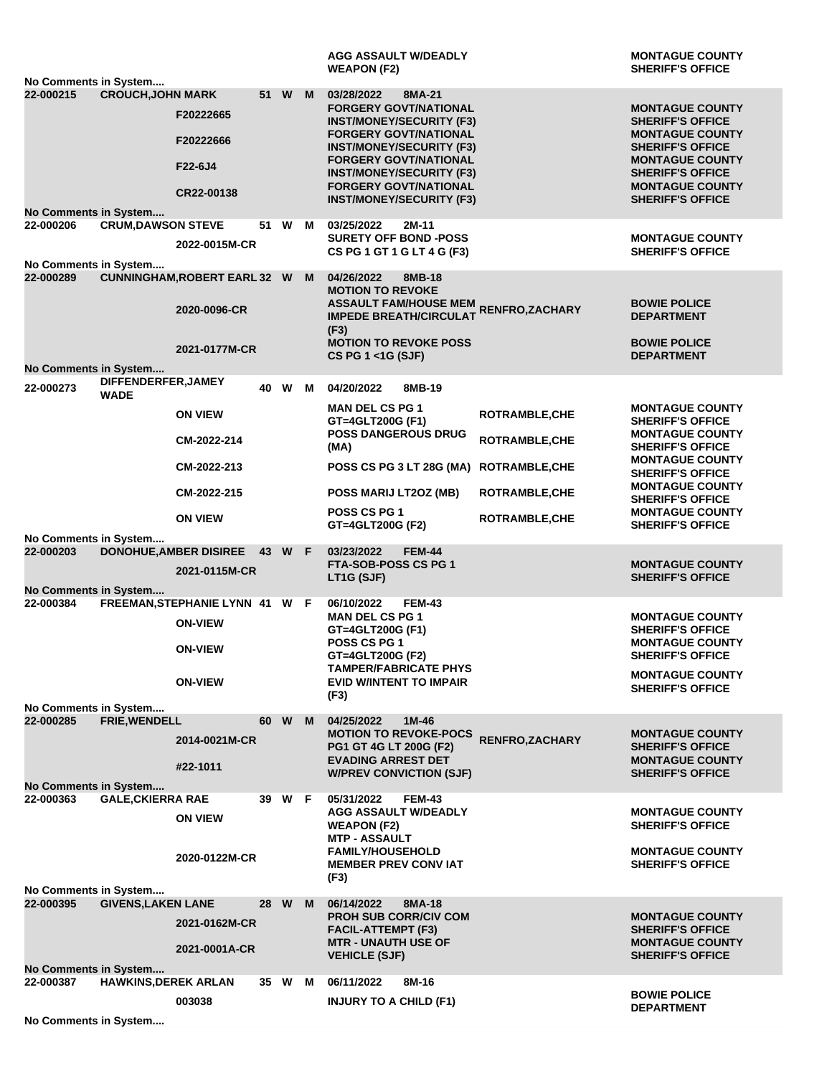|                                    |                                    |                                                |      |        |   | <b>AGG ASSAULT W/DEADLY</b><br><b>WEAPON (F2)</b>                                            |                       | <b>MONTAGUE COUNTY</b><br><b>SHERIFF'S OFFICE</b> |
|------------------------------------|------------------------------------|------------------------------------------------|------|--------|---|----------------------------------------------------------------------------------------------|-----------------------|---------------------------------------------------|
| No Comments in System              |                                    |                                                |      |        |   |                                                                                              |                       |                                                   |
| 22-000215                          | <b>CROUCH, JOHN MARK</b>           | F20222665                                      |      | 51 W   | M | 03/28/2022<br>8MA-21<br><b>FORGERY GOVT/NATIONAL</b><br><b>INST/MONEY/SECURITY (F3)</b>      |                       | <b>MONTAGUE COUNTY</b><br><b>SHERIFF'S OFFICE</b> |
|                                    |                                    | F20222666                                      |      |        |   | <b>FORGERY GOVT/NATIONAL</b><br><b>INST/MONEY/SECURITY (F3)</b>                              |                       | <b>MONTAGUE COUNTY</b><br><b>SHERIFF'S OFFICE</b> |
|                                    |                                    | F22-6J4                                        |      |        |   | <b>FORGERY GOVT/NATIONAL</b><br><b>INST/MONEY/SECURITY (F3)</b>                              |                       | <b>MONTAGUE COUNTY</b><br><b>SHERIFF'S OFFICE</b> |
|                                    |                                    | CR22-00138                                     |      |        |   | <b>FORGERY GOVT/NATIONAL</b><br><b>INST/MONEY/SECURITY (F3)</b>                              |                       | <b>MONTAGUE COUNTY</b><br><b>SHERIFF'S OFFICE</b> |
| No Comments in System<br>22-000206 | <b>CRUM, DAWSON STEVE</b>          |                                                |      | 51 W   | M | 03/25/2022<br>2M-11                                                                          |                       |                                                   |
|                                    |                                    |                                                |      |        |   | <b>SURETY OFF BOND -POSS</b>                                                                 |                       | <b>MONTAGUE COUNTY</b>                            |
|                                    |                                    | 2022-0015M-CR                                  |      |        |   | CS PG 1 GT 1 G LT 4 G (F3)                                                                   |                       | <b>SHERIFF'S OFFICE</b>                           |
| No Comments in System<br>22-000289 |                                    |                                                |      |        |   |                                                                                              |                       |                                                   |
|                                    |                                    | <b>CUNNINGHAM, ROBERT EARL 32 W</b>            |      |        | M | 04/26/2022<br>8MB-18<br><b>MOTION TO REVOKE</b>                                              |                       | <b>BOWIE POLICE</b>                               |
|                                    |                                    | 2020-0096-CR                                   |      |        |   | <b>ASSAULT FAM/HOUSE MEM RENFRO,ZACHARY</b><br>IMPEDE BREATH/CIRCULAT RENFRO,ZACHARY<br>(F3) |                       | <b>DEPARTMENT</b>                                 |
|                                    |                                    | 2021-0177M-CR                                  |      |        |   | <b>MOTION TO REVOKE POSS</b><br>CS PG 1 <1G (SJF)                                            |                       | <b>BOWIE POLICE</b><br><b>DEPARTMENT</b>          |
| No Comments in System              |                                    |                                                |      |        |   |                                                                                              |                       |                                                   |
| 22-000273                          | DIFFENDERFER, JAMEY<br><b>WADE</b> |                                                |      | 40 W M |   | 04/20/2022<br>8MB-19                                                                         |                       |                                                   |
|                                    |                                    | <b>ON VIEW</b>                                 |      |        |   | <b>MAN DEL CS PG 1</b><br>GT=4GLT200G (F1)                                                   | <b>ROTRAMBLE, CHE</b> | <b>MONTAGUE COUNTY</b><br><b>SHERIFF'S OFFICE</b> |
|                                    |                                    | CM-2022-214                                    |      |        |   | <b>POSS DANGEROUS DRUG</b><br>(MA)                                                           | <b>ROTRAMBLE, CHE</b> | <b>MONTAGUE COUNTY</b><br><b>SHERIFF'S OFFICE</b> |
|                                    |                                    | CM-2022-213                                    |      |        |   | POSS CS PG 3 LT 28G (MA) ROTRAMBLE, CHE                                                      |                       | <b>MONTAGUE COUNTY</b><br><b>SHERIFF'S OFFICE</b> |
|                                    |                                    | CM-2022-215                                    |      |        |   | POSS MARIJ LT2OZ (MB)                                                                        | <b>ROTRAMBLE, CHE</b> | <b>MONTAGUE COUNTY</b><br><b>SHERIFF'S OFFICE</b> |
|                                    |                                    | <b>ON VIEW</b>                                 |      |        |   | POSS CS PG 1<br>GT=4GLT200G (F2)                                                             | <b>ROTRAMBLE, CHE</b> | <b>MONTAGUE COUNTY</b><br><b>SHERIFF'S OFFICE</b> |
| No Comments in System              |                                    |                                                |      |        |   |                                                                                              |                       |                                                   |
|                                    |                                    |                                                |      |        |   |                                                                                              |                       |                                                   |
| 22-000203                          |                                    | DONOHUE, AMBER DISIREE 43 W F<br>2021-0115M-CR |      |        |   | 03/23/2022<br><b>FEM-44</b><br>FTA-SOB-POSS CS PG 1                                          |                       | <b>MONTAGUE COUNTY</b>                            |
|                                    |                                    |                                                |      |        |   | LT1G (SJF)                                                                                   |                       | <b>SHERIFF'S OFFICE</b>                           |
| No Comments in System<br>22-000384 |                                    | FREEMAN, STEPHANIE LYNN 41 W F                 |      |        |   | 06/10/2022<br><b>FEM-43</b>                                                                  |                       |                                                   |
|                                    |                                    | <b>ON-VIEW</b>                                 |      |        |   | <b>MAN DEL CS PG 1</b>                                                                       |                       | <b>MONTAGUE COUNTY</b>                            |
|                                    |                                    |                                                |      |        |   | GT=4GLT200G (F1)<br>POSS CS PG 1                                                             |                       | <b>SHERIFF'S OFFICE</b><br><b>MONTAGUE COUNTY</b> |
|                                    |                                    | <b>ON-VIEW</b>                                 |      |        |   | GT=4GLT200G (F2)                                                                             |                       | <b>SHERIFF'S OFFICE</b>                           |
|                                    |                                    |                                                |      |        |   | <b>TAMPER/FABRICATE PHYS</b>                                                                 |                       | <b>MONTAGUE COUNTY</b>                            |
|                                    |                                    | <b>ON-VIEW</b>                                 |      |        |   | <b>EVID W/INTENT TO IMPAIR</b>                                                               |                       | <b>SHERIFF'S OFFICE</b>                           |
| No Comments in System              |                                    |                                                |      |        |   | (F3)                                                                                         |                       |                                                   |
| 22-000285                          | <b>FRIE, WENDELL</b>               |                                                | 60 W |        | M | 04/25/2022<br>1M-46                                                                          |                       |                                                   |
|                                    |                                    | 2014-0021M-CR                                  |      |        |   | <b>MOTION TO REVOKE-POCS</b><br>PG1 GT 4G LT 200G (F2)                                       | <b>RENFRO,ZACHARY</b> | <b>MONTAGUE COUNTY</b><br><b>SHERIFF'S OFFICE</b> |
|                                    |                                    |                                                |      |        |   | <b>EVADING ARREST DET</b>                                                                    |                       | <b>MONTAGUE COUNTY</b>                            |
|                                    |                                    | #22-1011                                       |      |        |   | <b>W/PREV CONVICTION (SJF)</b>                                                               |                       | <b>SHERIFF'S OFFICE</b>                           |
| No Comments in System<br>22-000363 |                                    |                                                | 39   |        |   | 05/31/2022<br><b>FEM-43</b>                                                                  |                       |                                                   |
|                                    | <b>GALE, CKIERRA RAE</b>           |                                                |      | W F    |   | <b>AGG ASSAULT W/DEADLY</b>                                                                  |                       | <b>MONTAGUE COUNTY</b>                            |
|                                    |                                    | <b>ON VIEW</b>                                 |      |        |   | <b>WEAPON (F2)</b>                                                                           |                       | <b>SHERIFF'S OFFICE</b>                           |
|                                    |                                    |                                                |      |        |   | <b>MTP - ASSAULT</b><br><b>FAMILY/HOUSEHOLD</b>                                              |                       | <b>MONTAGUE COUNTY</b>                            |
|                                    |                                    | 2020-0122M-CR                                  |      |        |   | <b>MEMBER PREV CONVIAT</b>                                                                   |                       | <b>SHERIFF'S OFFICE</b>                           |
|                                    |                                    |                                                |      |        |   | (F3)                                                                                         |                       |                                                   |
| No Comments in System<br>22-000395 | <b>GIVENS, LAKEN LANE</b>          |                                                | 28   | W      | M | 06/14/2022<br>8MA-18                                                                         |                       |                                                   |
|                                    |                                    | 2021-0162M-CR                                  |      |        |   | <b>PROH SUB CORR/CIV COM</b>                                                                 |                       | <b>MONTAGUE COUNTY</b>                            |
|                                    |                                    |                                                |      |        |   | <b>FACIL-ATTEMPT (F3)</b><br><b>MTR - UNAUTH USE OF</b>                                      |                       | <b>SHERIFF'S OFFICE</b><br><b>MONTAGUE COUNTY</b> |
|                                    |                                    | 2021-0001A-CR                                  |      |        |   | <b>VEHICLE (SJF)</b>                                                                         |                       | <b>SHERIFF'S OFFICE</b>                           |
| No Comments in System              |                                    |                                                |      |        |   |                                                                                              |                       |                                                   |
| 22-000387                          | <b>HAWKINS, DEREK ARLAN</b>        |                                                |      | 35 W M |   | 06/11/2022<br>8M-16                                                                          |                       | <b>BOWIE POLICE</b>                               |
| No Comments in System              |                                    | 003038                                         |      |        |   | <b>INJURY TO A CHILD (F1)</b>                                                                |                       | <b>DEPARTMENT</b>                                 |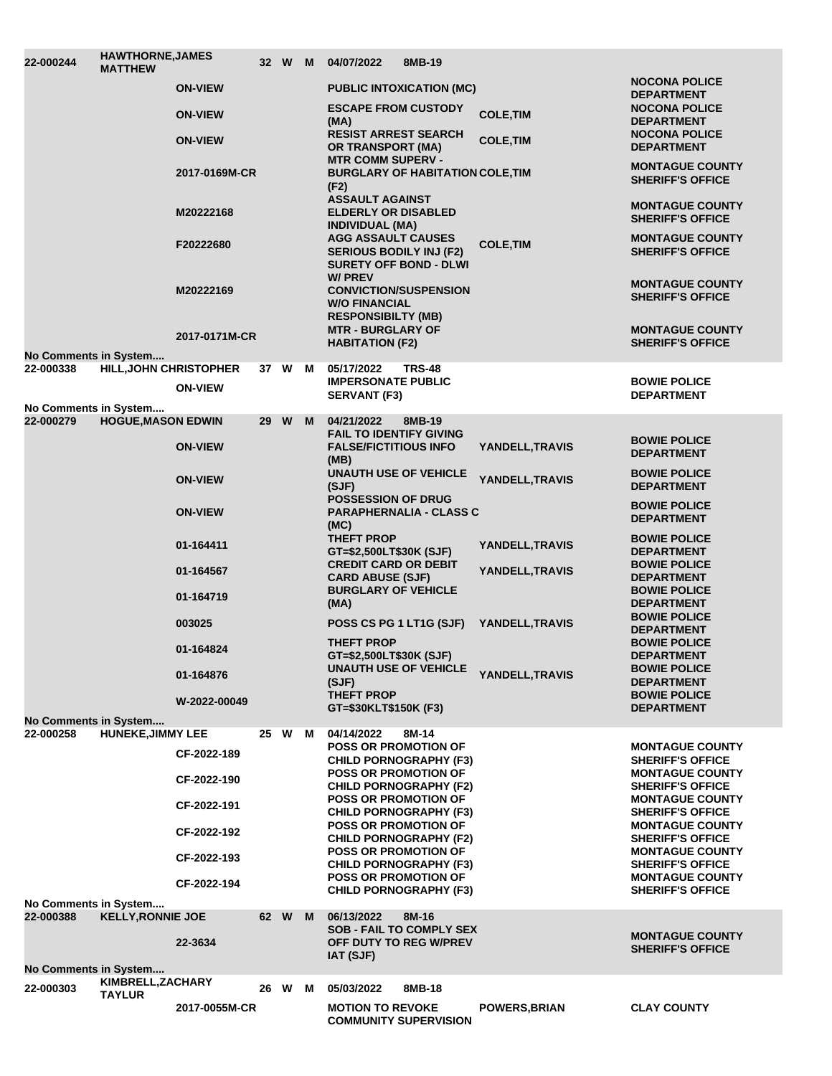| 22-000244                          | <b>HAWTHORNE, JAMES</b><br><b>MATTHEW</b> |                |    | 32 W M |   | 04/07/2022                                                                                   | 8MB-19                                  |                      |                                                   |
|------------------------------------|-------------------------------------------|----------------|----|--------|---|----------------------------------------------------------------------------------------------|-----------------------------------------|----------------------|---------------------------------------------------|
|                                    |                                           | <b>ON-VIEW</b> |    |        |   |                                                                                              | <b>PUBLIC INTOXICATION (MC)</b>         |                      | <b>NOCONA POLICE</b><br><b>DEPARTMENT</b>         |
|                                    |                                           | <b>ON-VIEW</b> |    |        |   | <b>ESCAPE FROM CUSTODY</b><br>(MA)                                                           |                                         | <b>COLE, TIM</b>     | <b>NOCONA POLICE</b><br><b>DEPARTMENT</b>         |
|                                    |                                           | <b>ON-VIEW</b> |    |        |   | <b>RESIST ARREST SEARCH</b><br><b>OR TRANSPORT (MA)</b>                                      |                                         | <b>COLE, TIM</b>     | <b>NOCONA POLICE</b><br><b>DEPARTMENT</b>         |
|                                    |                                           | 2017-0169M-CR  |    |        |   | <b>MTR COMM SUPERV -</b><br>(F2)                                                             | <b>BURGLARY OF HABITATION COLE, TIM</b> |                      | <b>MONTAGUE COUNTY</b><br><b>SHERIFF'S OFFICE</b> |
|                                    |                                           | M20222168      |    |        |   | <b>ASSAULT AGAINST</b><br><b>ELDERLY OR DISABLED</b><br><b>INDIVIDUAL (MA)</b>               |                                         |                      | <b>MONTAGUE COUNTY</b><br><b>SHERIFF'S OFFICE</b> |
|                                    |                                           | F20222680      |    |        |   | <b>AGG ASSAULT CAUSES</b><br><b>SERIOUS BODILY INJ (F2)</b><br><b>SURETY OFF BOND - DLWI</b> |                                         | <b>COLE, TIM</b>     | <b>MONTAGUE COUNTY</b><br><b>SHERIFF'S OFFICE</b> |
|                                    |                                           | M20222169      |    |        |   | W/ PREV<br><b>CONVICTION/SUSPENSION</b><br><b>W/O FINANCIAL</b><br><b>RESPONSIBILTY (MB)</b> |                                         |                      | <b>MONTAGUE COUNTY</b><br><b>SHERIFF'S OFFICE</b> |
| <b>No Comments in System</b>       |                                           | 2017-0171M-CR  |    |        |   | <b>MTR - BURGLARY OF</b><br><b>HABITATION (F2)</b>                                           |                                         |                      | <b>MONTAGUE COUNTY</b><br><b>SHERIFF'S OFFICE</b> |
| 22-000338                          | <b>HILL, JOHN CHRISTOPHER</b>             |                |    | 37 W   | M | 05/17/2022                                                                                   | <b>TRS-48</b>                           |                      |                                                   |
|                                    |                                           | <b>ON-VIEW</b> |    |        |   | <b>IMPERSONATE PUBLIC</b><br><b>SERVANT (F3)</b>                                             |                                         |                      | <b>BOWIE POLICE</b><br><b>DEPARTMENT</b>          |
| No Comments in System<br>22-000279 | <b>HOGUE, MASON EDWIN</b>                 |                |    | 29 W   | M | 04/21/2022                                                                                   | 8MB-19                                  |                      |                                                   |
|                                    |                                           |                |    |        |   | <b>FAIL TO IDENTIFY GIVING</b>                                                               |                                         |                      | <b>BOWIE POLICE</b>                               |
|                                    |                                           | <b>ON-VIEW</b> |    |        |   | <b>FALSE/FICTITIOUS INFO</b><br>(MB)                                                         |                                         | YANDELL, TRAVIS      | <b>DEPARTMENT</b>                                 |
|                                    |                                           | <b>ON-VIEW</b> |    |        |   | <b>UNAUTH USE OF VEHICLE</b><br>(SJF)                                                        |                                         | YANDELL, TRAVIS      | <b>BOWIE POLICE</b><br><b>DEPARTMENT</b>          |
|                                    |                                           | <b>ON-VIEW</b> |    |        |   | <b>POSSESSION OF DRUG</b><br>(MC)                                                            | <b>PARAPHERNALIA - CLASS C</b>          |                      | <b>BOWIE POLICE</b><br><b>DEPARTMENT</b>          |
|                                    |                                           | 01-164411      |    |        |   | <b>THEFT PROP</b><br>GT=\$2,500LT\$30K (SJF)                                                 |                                         | YANDELL, TRAVIS      | <b>BOWIE POLICE</b><br><b>DEPARTMENT</b>          |
|                                    |                                           | 01-164567      |    |        |   | <b>CREDIT CARD OR DEBIT</b><br><b>CARD ABUSE (SJF)</b>                                       |                                         | YANDELL, TRAVIS      | <b>BOWIE POLICE</b><br><b>DEPARTMENT</b>          |
|                                    |                                           | 01-164719      |    |        |   | <b>BURGLARY OF VEHICLE</b><br>(MA)                                                           |                                         |                      | <b>BOWIE POLICE</b><br><b>DEPARTMENT</b>          |
|                                    |                                           | 003025         |    |        |   | POSS CS PG 1 LT1G (SJF)                                                                      |                                         | YANDELL, TRAVIS      | <b>BOWIE POLICE</b><br><b>DEPARTMENT</b>          |
|                                    |                                           | 01-164824      |    |        |   | <b>THEFT PROP</b><br>GT=\$2,500LT\$30K (SJF)                                                 |                                         |                      | <b>BOWIE POLICE</b><br><b>DEPARTMENT</b>          |
|                                    |                                           | 01-164876      |    |        |   | <b>UNAUTH USE OF VEHICLE</b><br>(SJF)                                                        |                                         | YANDELL, TRAVIS      | <b>BOWIE POLICE</b><br><b>DEPARTMENT</b>          |
|                                    |                                           | W-2022-00049   |    |        |   | <b>THEFT PROP</b><br>GT=\$30KLT\$150K (F3)                                                   |                                         |                      | <b>BOWIE POLICE</b><br><b>DEPARTMENT</b>          |
| <b>No Comments in System</b>       |                                           |                |    |        |   |                                                                                              |                                         |                      |                                                   |
| 22-000258                          | <b>HUNEKE, JIMMY LEE</b>                  |                | 25 | W      | M | 04/14/2022<br><b>POSS OR PROMOTION OF</b>                                                    | 8M-14                                   |                      | <b>MONTAGUE COUNTY</b>                            |
|                                    |                                           | CF-2022-189    |    |        |   | <b>CHILD PORNOGRAPHY (F3)</b><br><b>POSS OR PROMOTION OF</b>                                 |                                         |                      | <b>SHERIFF'S OFFICE</b><br><b>MONTAGUE COUNTY</b> |
|                                    |                                           | CF-2022-190    |    |        |   | <b>CHILD PORNOGRAPHY (F2)</b>                                                                |                                         |                      | <b>SHERIFF'S OFFICE</b>                           |
|                                    |                                           | CF-2022-191    |    |        |   | <b>POSS OR PROMOTION OF</b><br><b>CHILD PORNOGRAPHY (F3)</b>                                 |                                         |                      | <b>MONTAGUE COUNTY</b><br><b>SHERIFF'S OFFICE</b> |
|                                    |                                           | CF-2022-192    |    |        |   | <b>POSS OR PROMOTION OF</b><br><b>CHILD PORNOGRAPHY (F2)</b>                                 |                                         |                      | <b>MONTAGUE COUNTY</b><br><b>SHERIFF'S OFFICE</b> |
|                                    |                                           | CF-2022-193    |    |        |   | <b>POSS OR PROMOTION OF</b><br><b>CHILD PORNOGRAPHY (F3)</b>                                 |                                         |                      | <b>MONTAGUE COUNTY</b><br><b>SHERIFF'S OFFICE</b> |
|                                    |                                           | CF-2022-194    |    |        |   | <b>POSS OR PROMOTION OF</b><br><b>CHILD PORNOGRAPHY (F3)</b>                                 |                                         |                      | <b>MONTAGUE COUNTY</b><br><b>SHERIFF'S OFFICE</b> |
| No Comments in System<br>22-000388 | <b>KELLY, RONNIE JOE</b>                  |                |    | 62 W   | M | 06/13/2022                                                                                   | 8M-16                                   |                      |                                                   |
|                                    |                                           | 22-3634        |    |        |   | OFF DUTY TO REG W/PREV<br><b>IAT (SJF)</b>                                                   | <b>SOB - FAIL TO COMPLY SEX</b>         |                      | <b>MONTAGUE COUNTY</b><br><b>SHERIFF'S OFFICE</b> |
| <b>No Comments in System</b>       |                                           |                |    |        |   |                                                                                              |                                         |                      |                                                   |
| 22-000303                          | KIMBRELL, ZACHARY<br><b>TAYLUR</b>        |                |    | 26 W   | м | 05/03/2022                                                                                   | 8MB-18                                  |                      |                                                   |
|                                    |                                           | 2017-0055M-CR  |    |        |   | <b>MOTION TO REVOKE</b><br><b>COMMUNITY SUPERVISION</b>                                      |                                         | <b>POWERS, BRIAN</b> | <b>CLAY COUNTY</b>                                |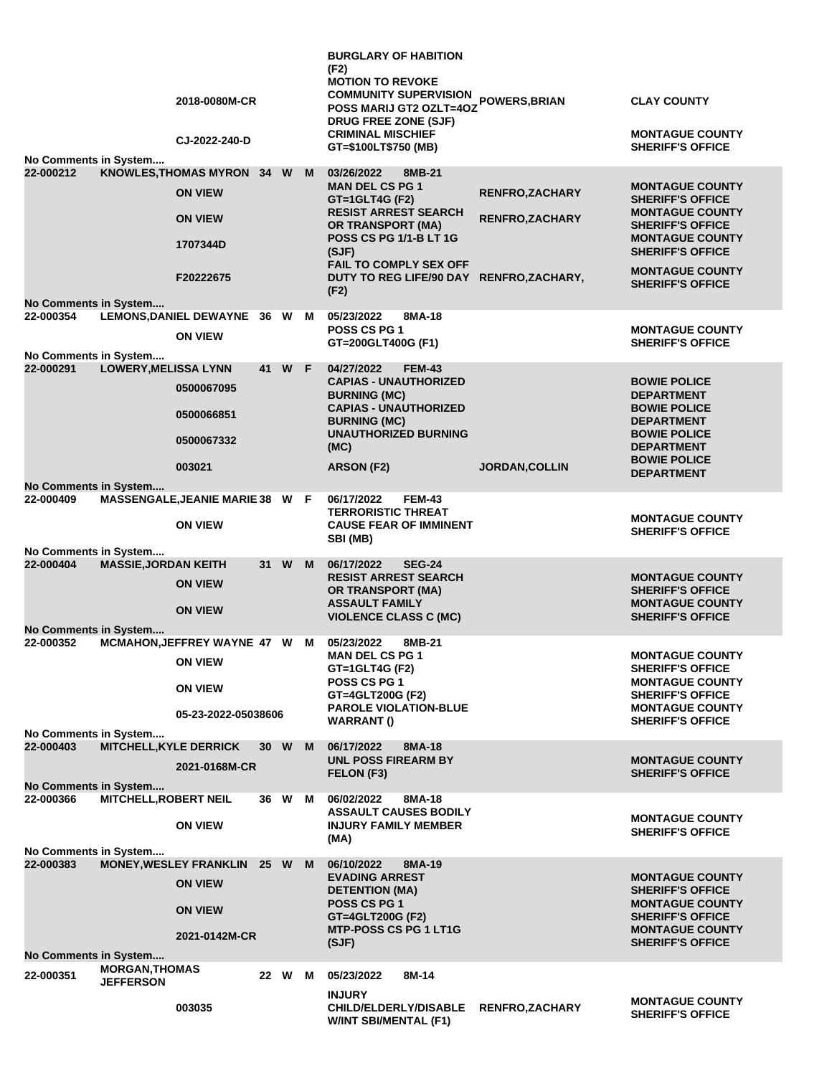|                                    |                                           | 2018-0080M-CR                                     |        |        |     | <b>BURGLARY OF HABITION</b><br>(F2)<br><b>MOTION TO REVOKE</b><br><b>COMMUNITY SUPERVISION</b><br>POSS MARIJ GT2 OZLT=4OZ | POWERS, BRIAN          | <b>CLAY COUNTY</b>                                                           |
|------------------------------------|-------------------------------------------|---------------------------------------------------|--------|--------|-----|---------------------------------------------------------------------------------------------------------------------------|------------------------|------------------------------------------------------------------------------|
|                                    |                                           | CJ-2022-240-D                                     |        |        |     | DRUG FREE ZONE (SJF)<br><b>CRIMINAL MISCHIEF</b>                                                                          |                        | <b>MONTAGUE COUNTY</b>                                                       |
|                                    |                                           |                                                   |        |        |     | GT=\$100LT\$750 (MB)                                                                                                      |                        | <b>SHERIFF'S OFFICE</b>                                                      |
| No Comments in System<br>22-000212 |                                           | KNOWLES, THOMAS MYRON 34 W M                      |        |        |     | 03/26/2022<br>8MB-21                                                                                                      |                        |                                                                              |
|                                    |                                           | <b>ON VIEW</b>                                    |        |        |     | <b>MAN DEL CS PG 1</b><br>GT=1GLT4G (F2)<br><b>RESIST ARREST SEARCH</b>                                                   | <b>RENFRO, ZACHARY</b> | <b>MONTAGUE COUNTY</b><br><b>SHERIFF'S OFFICE</b><br><b>MONTAGUE COUNTY</b>  |
|                                    |                                           | <b>ON VIEW</b><br>1707344D                        |        |        |     | <b>OR TRANSPORT (MA)</b><br>POSS CS PG 1/1-B LT 1G<br>(SJF)                                                               | <b>RENFRO, ZACHARY</b> | <b>SHERIFF'S OFFICE</b><br><b>MONTAGUE COUNTY</b><br><b>SHERIFF'S OFFICE</b> |
|                                    |                                           | F20222675                                         |        |        |     | FAIL TO COMPLY SEX OFF<br>DUTY TO REG LIFE/90 DAY RENFRO, ZACHARY,<br>(F2)                                                |                        | <b>MONTAGUE COUNTY</b><br><b>SHERIFF'S OFFICE</b>                            |
| No Comments in System<br>22-000354 |                                           | LEMONS, DANIEL DEWAYNE 36 W M                     |        |        |     | 05/23/2022<br>8MA-18                                                                                                      |                        |                                                                              |
| No Comments in System              |                                           | <b>ON VIEW</b>                                    |        |        |     | <b>POSS CS PG 1</b><br>GT=200GLT400G (F1)                                                                                 |                        | <b>MONTAGUE COUNTY</b><br><b>SHERIFF'S OFFICE</b>                            |
| 22-000291                          | <b>LOWERY, MELISSA LYNN</b>               |                                                   |        | 41 W F |     | 04/27/2022<br><b>FEM-43</b>                                                                                               |                        |                                                                              |
|                                    |                                           | 0500067095                                        |        |        |     | <b>CAPIAS - UNAUTHORIZED</b><br><b>BURNING (MC)</b><br><b>CAPIAS - UNAUTHORIZED</b>                                       |                        | <b>BOWIE POLICE</b><br><b>DEPARTMENT</b><br><b>BOWIE POLICE</b>              |
|                                    |                                           | 0500066851<br>0500067332                          |        |        |     | <b>BURNING (MC)</b><br><b>UNAUTHORIZED BURNING</b>                                                                        |                        | <b>DEPARTMENT</b><br><b>BOWIE POLICE</b>                                     |
|                                    |                                           | 003021                                            |        |        |     | (MC)<br>ARSON (F2)                                                                                                        | <b>JORDAN, COLLIN</b>  | <b>DEPARTMENT</b><br><b>BOWIE POLICE</b><br><b>DEPARTMENT</b>                |
| <b>No Comments in System</b>       |                                           |                                                   |        |        |     |                                                                                                                           |                        |                                                                              |
| 22-000409                          |                                           | MASSENGALE, JEANIE MARIE 38 W F<br><b>ON VIEW</b> |        |        |     | <b>FEM-43</b><br>06/17/2022<br><b>TERRORISTIC THREAT</b><br><b>CAUSE FEAR OF IMMINENT</b>                                 |                        | <b>MONTAGUE COUNTY</b>                                                       |
|                                    |                                           |                                                   |        |        |     | SBI (MB)                                                                                                                  |                        | <b>SHERIFF'S OFFICE</b>                                                      |
| No Comments in System              |                                           |                                                   |        |        |     |                                                                                                                           |                        |                                                                              |
| 22-000404                          | <b>MASSIE, JORDAN KEITH</b>               | <b>ON VIEW</b>                                    |        | 31 W M |     | 06/17/2022<br><b>SEG-24</b><br><b>RESIST ARREST SEARCH</b><br>OR TRANSPORT (MA)                                           |                        | <b>MONTAGUE COUNTY</b><br><b>SHERIFF'S OFFICE</b>                            |
| <b>No Comments in System</b>       |                                           | <b>ON VIEW</b>                                    |        |        |     | <b>ASSAULT FAMILY</b><br><b>VIOLENCE CLASS C (MC)</b>                                                                     |                        | <b>MONTAGUE COUNTY</b><br><b>SHERIFF'S OFFICE</b>                            |
| 22-000352                          |                                           | MCMAHON, JEFFREY WAYNE 47 W M                     |        |        |     | 05/23/2022<br>8MB-21                                                                                                      |                        |                                                                              |
|                                    |                                           | <b>ON VIEW</b>                                    |        |        |     | <b>MAN DEL CS PG 1</b><br>GT=1GLT4G (F2)<br>POSS CS PG 1                                                                  |                        | <b>MONTAGUE COUNTY</b><br><b>SHERIFF'S OFFICE</b><br><b>MONTAGUE COUNTY</b>  |
|                                    |                                           | <b>ON VIEW</b><br>05-23-2022-05038606             |        |        |     | GT=4GLT200G (F2)<br><b>PAROLE VIOLATION-BLUE</b><br><b>WARRANT()</b>                                                      |                        | <b>SHERIFF'S OFFICE</b><br><b>MONTAGUE COUNTY</b><br><b>SHERIFF'S OFFICE</b> |
| No Comments in System              |                                           |                                                   |        |        |     |                                                                                                                           |                        |                                                                              |
| 22-000403                          | <b>MITCHELL, KYLE DERRICK</b>             | 2021-0168M-CR                                     |        | 30 W   | - M | 06/17/2022<br>8MA-18<br><b>UNL POSS FIREARM BY</b>                                                                        |                        | <b>MONTAGUE COUNTY</b>                                                       |
| No Comments in System              |                                           |                                                   |        |        |     | FELON (F3)                                                                                                                |                        | <b>SHERIFF'S OFFICE</b>                                                      |
| 22-000366                          | <b>MITCHELL, ROBERT NEIL</b>              | <b>ON VIEW</b>                                    |        | 36 W M |     | 06/02/2022<br>8MA-18<br><b>ASSAULT CAUSES BODILY</b><br><b>INJURY FAMILY MEMBER</b>                                       |                        | <b>MONTAGUE COUNTY</b>                                                       |
|                                    |                                           |                                                   |        |        |     | (MA)                                                                                                                      |                        | <b>SHERIFF'S OFFICE</b>                                                      |
| No Comments in System              |                                           |                                                   |        |        |     |                                                                                                                           |                        |                                                                              |
| 22-000383                          |                                           | <b>MONEY, WESLEY FRANKLIN</b><br><b>ON VIEW</b>   | 25 W M |        |     | 06/10/2022<br>8MA-19<br><b>EVADING ARREST</b><br><b>DETENTION (MA)</b>                                                    |                        | <b>MONTAGUE COUNTY</b><br><b>SHERIFF'S OFFICE</b>                            |
|                                    |                                           | <b>ON VIEW</b>                                    |        |        |     | <b>POSS CS PG 1</b><br>GT=4GLT200G (F2)<br><b>MTP-POSS CS PG 1 LT1G</b>                                                   |                        | <b>MONTAGUE COUNTY</b><br><b>SHERIFF'S OFFICE</b><br><b>MONTAGUE COUNTY</b>  |
|                                    |                                           | 2021-0142M-CR                                     |        |        |     | (SJF)                                                                                                                     |                        | <b>SHERIFF'S OFFICE</b>                                                      |
| No Comments in System<br>22-000351 | <b>MORGAN, THOMAS</b><br><b>JEFFERSON</b> |                                                   |        | 22 W M |     | 05/23/2022<br>8M-14                                                                                                       |                        |                                                                              |
|                                    |                                           |                                                   |        |        |     | <b>INJURY</b>                                                                                                             |                        | <b>MONTAGUE COUNTY</b>                                                       |
|                                    |                                           | 003035                                            |        |        |     | <b>CHILD/ELDERLY/DISABLE</b><br><b>W/INT SBI/MENTAL (F1)</b>                                                              | <b>RENFRO, ZACHARY</b> | <b>SHERIFF'S OFFICE</b>                                                      |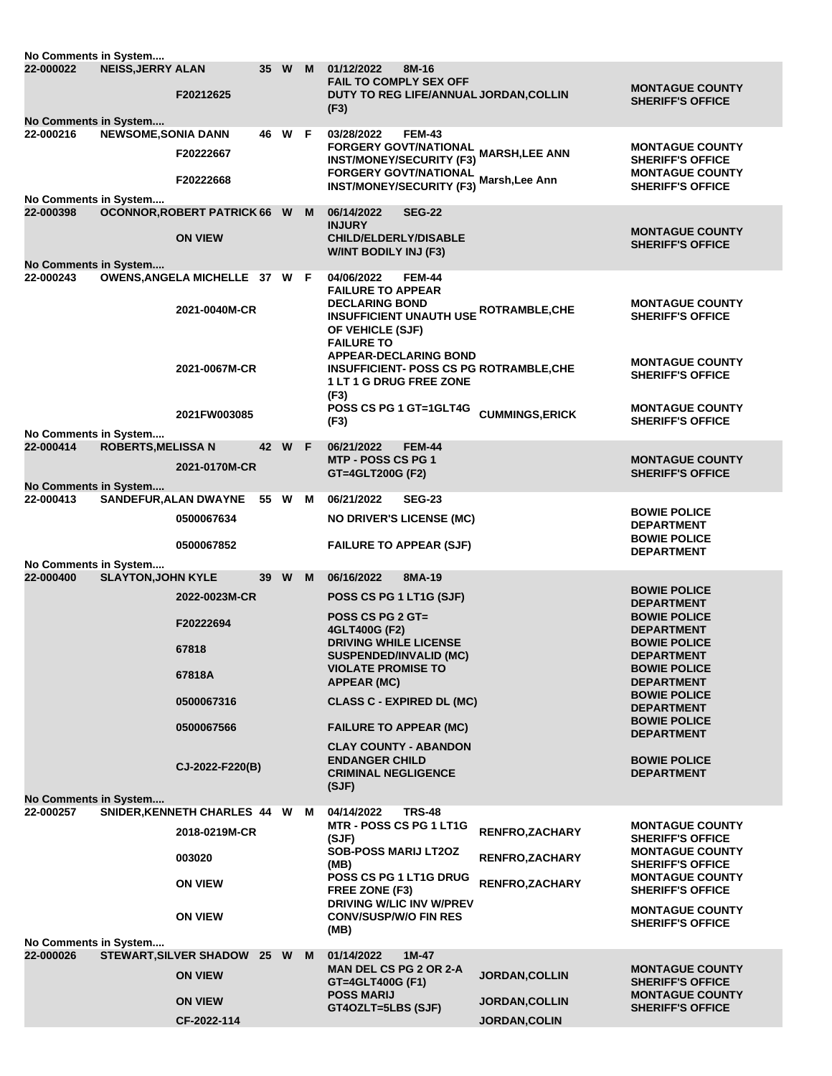| No Comments in System                     |                            |                                                  |        |   |                                                                                                                                                                                          |                       |                                                                                                        |
|-------------------------------------------|----------------------------|--------------------------------------------------|--------|---|------------------------------------------------------------------------------------------------------------------------------------------------------------------------------------------|-----------------------|--------------------------------------------------------------------------------------------------------|
| 22-000022                                 | <b>NEISS, JERRY ALAN</b>   | F20212625                                        | 35 W   | M | 01/12/2022<br>8M-16<br><b>FAIL TO COMPLY SEX OFF</b><br>DUTY TO REG LIFE/ANNUAL JORDAN, COLLIN<br>(F3)                                                                                   |                       | <b>MONTAGUE COUNTY</b><br><b>SHERIFF'S OFFICE</b>                                                      |
| No Comments in System                     |                            |                                                  |        |   |                                                                                                                                                                                          |                       |                                                                                                        |
| 22-000216                                 | <b>NEWSOME, SONIA DANN</b> | F20222667<br>F20222668                           | 46 W F |   | 03/28/2022<br><b>FEM-43</b><br>FORGERY GOVT/NATIONAL MARSH,LEE ANN<br><b>INST/MONEY/SECURITY (F3)</b><br>FORGERY GOVT/NATIONAL Marsh, Lee Ann<br>INST/MONEY/SECURITY (F3) Marsh, Lee Ann |                       | <b>MONTAGUE COUNTY</b><br><b>SHERIFF'S OFFICE</b><br><b>MONTAGUE COUNTY</b><br><b>SHERIFF'S OFFICE</b> |
| No Comments in System                     |                            |                                                  |        |   |                                                                                                                                                                                          |                       |                                                                                                        |
| 22-000398                                 |                            | OCONNOR, ROBERT PATRICK 66 W M<br><b>ON VIEW</b> |        |   | 06/14/2022<br><b>SEG-22</b><br><b>INJURY</b><br><b>CHILD/ELDERLY/DISABLE</b><br><b>W/INT BODILY INJ (F3)</b>                                                                             |                       | <b>MONTAGUE COUNTY</b><br><b>SHERIFF'S OFFICE</b>                                                      |
| <b>No Comments in System</b><br>22-000243 |                            | OWENS, ANGELA MICHELLE 37 W F                    |        |   | <b>FEM-44</b><br>04/06/2022                                                                                                                                                              |                       |                                                                                                        |
|                                           |                            | 2021-0040M-CR                                    |        |   | <b>FAILURE TO APPEAR</b><br><b>DECLARING BOND</b><br><b>INSUFFICIENT UNAUTH USE ROTRAMBLE, CHE</b><br>OF VEHICLE (SJF)<br><b>FAILURE TO</b><br><b>APPEAR-DECLARING BOND</b>              |                       | <b>MONTAGUE COUNTY</b><br><b>SHERIFF'S OFFICE</b>                                                      |
|                                           |                            | 2021-0067M-CR                                    |        |   | <b>INSUFFICIENT- POSS CS PG ROTRAMBLE,CHE</b><br><b>1 LT 1 G DRUG FREE ZONE</b><br>(F3)                                                                                                  |                       | <b>MONTAGUE COUNTY</b><br><b>SHERIFF'S OFFICE</b>                                                      |
|                                           |                            | 2021FW003085                                     |        |   | POSS CS PG 1 GT=1GLT4G                                                                                                                                                                   | <b>CUMMINGS,ERICK</b> | <b>MONTAGUE COUNTY</b>                                                                                 |
| No Comments in System                     |                            |                                                  |        |   | (F3)                                                                                                                                                                                     |                       | <b>SHERIFF'S OFFICE</b>                                                                                |
| 22-000414                                 | <b>ROBERTS, MELISSA N</b>  | 2021-0170M-CR                                    | 42 W F |   | 06/21/2022<br><b>FEM-44</b><br><b>MTP - POSS CS PG 1</b><br>GT=4GLT200G (F2)                                                                                                             |                       | <b>MONTAGUE COUNTY</b><br><b>SHERIFF'S OFFICE</b>                                                      |
| <b>No Comments in System</b><br>22-000413 |                            | <b>SANDEFUR,ALAN DWAYNE</b>                      | 55 W M |   | <b>SEG-23</b><br>06/21/2022                                                                                                                                                              |                       |                                                                                                        |
|                                           |                            | 0500067634                                       |        |   | <b>NO DRIVER'S LICENSE (MC)</b>                                                                                                                                                          |                       | <b>BOWIE POLICE</b><br><b>DEPARTMENT</b>                                                               |
|                                           |                            | 0500067852                                       |        |   | <b>FAILURE TO APPEAR (SJF)</b>                                                                                                                                                           |                       | <b>BOWIE POLICE</b><br><b>DEPARTMENT</b>                                                               |
| No Comments in System<br>22-000400        | <b>SLAYTON, JOHN KYLE</b>  |                                                  | 39 W   | M | 06/16/2022<br>8MA-19                                                                                                                                                                     |                       |                                                                                                        |
|                                           |                            | 2022-0023M-CR                                    |        |   | POSS CS PG 1 LT1G (SJF)                                                                                                                                                                  |                       | <b>BOWIE POLICE</b><br><b>DEPARTMENT</b>                                                               |
|                                           |                            | F20222694                                        |        |   | <b>POSS CS PG 2 GT=</b><br>4GLT400G (F2)                                                                                                                                                 |                       | <b>BOWIE POLICE</b><br><b>DEPARTMENT</b>                                                               |
|                                           |                            | 67818                                            |        |   | <b>DRIVING WHILE LICENSE</b>                                                                                                                                                             |                       | <b>BOWIE POLICE</b>                                                                                    |
|                                           |                            |                                                  |        |   | <b>SUSPENDED/INVALID (MC)</b><br><b>VIOLATE PROMISE TO</b>                                                                                                                               |                       | <b>DEPARTMENT</b><br><b>BOWIE POLICE</b>                                                               |
|                                           |                            | 67818A                                           |        |   | APPEAR (MC)                                                                                                                                                                              |                       | <b>DEPARTMENT</b>                                                                                      |
|                                           |                            | 0500067316                                       |        |   | <b>CLASS C - EXPIRED DL (MC)</b>                                                                                                                                                         |                       | <b>BOWIE POLICE</b><br><b>DEPARTMENT</b>                                                               |
|                                           |                            | 0500067566                                       |        |   | <b>FAILURE TO APPEAR (MC)</b>                                                                                                                                                            |                       | <b>BOWIE POLICE</b><br><b>DEPARTMENT</b>                                                               |
|                                           |                            | CJ-2022-F220(B)                                  |        |   | <b>CLAY COUNTY - ABANDON</b><br><b>ENDANGER CHILD</b><br><b>CRIMINAL NEGLIGENCE</b><br>(SJF)                                                                                             |                       | <b>BOWIE POLICE</b><br><b>DEPARTMENT</b>                                                               |
| <b>No Comments in System</b><br>22-000257 |                            | SNIDER, KENNETH CHARLES 44 W M                   |        |   | 04/14/2022<br><b>TRS-48</b>                                                                                                                                                              |                       |                                                                                                        |
|                                           |                            | 2018-0219M-CR                                    |        |   | <b>MTR - POSS CS PG 1 LT1G</b><br>(SJF)                                                                                                                                                  | RENFRO, ZACHARY       | <b>MONTAGUE COUNTY</b><br><b>SHERIFF'S OFFICE</b>                                                      |
|                                           |                            | 003020                                           |        |   | <b>SOB-POSS MARIJ LT2OZ</b>                                                                                                                                                              | RENFRO, ZACHARY       | <b>MONTAGUE COUNTY</b>                                                                                 |
|                                           |                            | <b>ON VIEW</b>                                   |        |   | (MB)<br>POSS CS PG 1 LT1G DRUG<br>FREE ZONE (F3)                                                                                                                                         | RENFRO, ZACHARY       | <b>SHERIFF'S OFFICE</b><br><b>MONTAGUE COUNTY</b><br><b>SHERIFF'S OFFICE</b>                           |
|                                           |                            | <b>ON VIEW</b>                                   |        |   | <b>DRIVING W/LIC INV W/PREV</b><br><b>CONV/SUSP/W/O FIN RES</b>                                                                                                                          |                       | <b>MONTAGUE COUNTY</b>                                                                                 |
|                                           |                            |                                                  |        |   | (MB)                                                                                                                                                                                     |                       | <b>SHERIFF'S OFFICE</b>                                                                                |
| No Comments in System                     |                            |                                                  |        |   |                                                                                                                                                                                          |                       |                                                                                                        |
| 22-000026                                 |                            | STEWART, SILVER SHADOW 25 W M<br><b>ON VIEW</b>  |        |   | 01/14/2022<br>$1M-47$<br><b>MAN DEL CS PG 2 OR 2-A</b><br>GT=4GLT400G (F1)                                                                                                               | <b>JORDAN, COLLIN</b> | <b>MONTAGUE COUNTY</b><br><b>SHERIFF'S OFFICE</b>                                                      |
|                                           |                            | <b>ON VIEW</b>                                   |        |   | <b>POSS MARIJ</b>                                                                                                                                                                        | <b>JORDAN,COLLIN</b>  | <b>MONTAGUE COUNTY</b>                                                                                 |
|                                           |                            | CF-2022-114                                      |        |   | GT4OZLT=5LBS (SJF)                                                                                                                                                                       | <b>JORDAN, COLIN</b>  | <b>SHERIFF'S OFFICE</b>                                                                                |
|                                           |                            |                                                  |        |   |                                                                                                                                                                                          |                       |                                                                                                        |